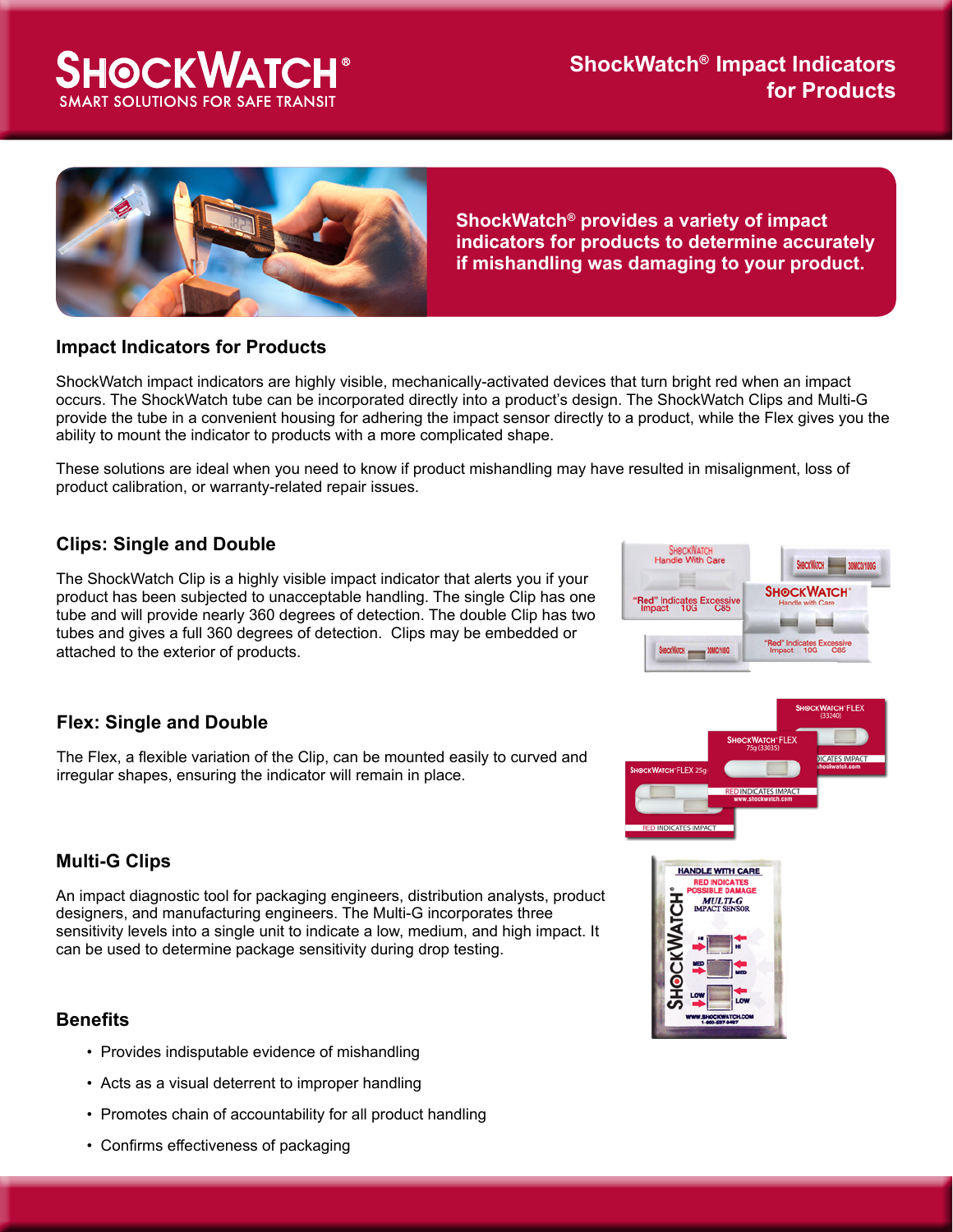# **SHOCKWATCH® ART SOLUTIONS FOR SAFE TRAN**



**ShockWatch® provides a variety of impact indicators for products to determine accurately if mishandling was damaging to your product.**

#### **Impact Indicators for Products**

ShockWatch impact indicators are highly visible, mechanically-activated devices that turn bright red when an impact occurs. The ShockWatch tube can be incorporated directly into a product's design. The ShockWatch Clips and Multi-G provide the tube in a convenient housing for adhering the impact sensor directly to a product, while the Flex gives you the ability to mount the indicator to products with a more complicated shape.

These solutions are ideal when you need to know if product mishandling may have resulted in misalignment, loss of product calibration, or warranty-related repair issues.

## **Clips: Single and Double**

The ShockWatch Clip is a highly visible impact indicator that alerts you if your product has been subjected to unacceptable handling. The single Clip has one tube and will provide nearly 360 degrees of detection. The double Clip has two tubes and gives a full 360 degrees of detection. Clips may be embedded or attached to the exterior of products.



## **Flex: Single and Double**

The Flex, a flexible variation of the Clip, can be mounted easily to curved and irregular shapes, ensuring the indicator will remain in place.

#### **Multi-G Clips**

An impact diagnostic tool for packaging engineers, distribution analysts, product designers, and manufacturing engineers. The Multi-G incorporates three sensitivity levels into a single unit to indicate a low, medium, and high impact. It can be used to determine package sensitivity during drop testing.

#### **Benefits**

- Provides indisputable evidence of mishandling
- Acts as a visual deterrent to improper handling
- Promotes chain of accountability for all product handling
- Confirms effectiveness of packaging